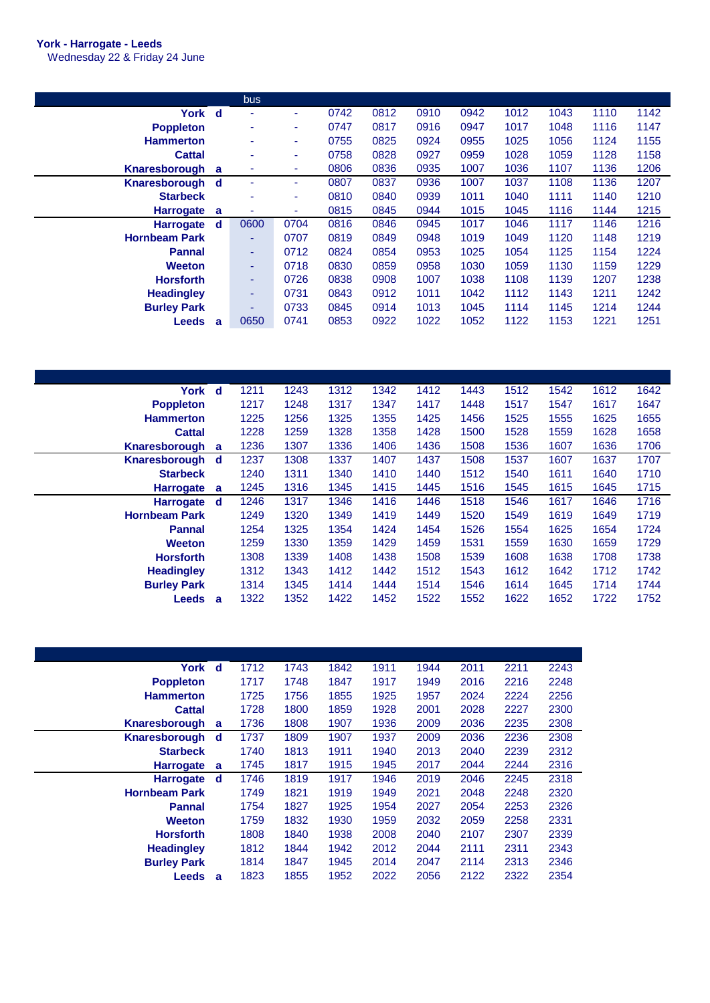## **York - Harrogate - Leeds**

Wednesday 22 & Friday 24 June

|                 | <b>bus</b>               |      |      |      |      |      |      |      |      |      |
|-----------------|--------------------------|------|------|------|------|------|------|------|------|------|
| York d          | $\overline{\phantom{a}}$ | ۰.   | 0742 | 0812 | 0910 | 0942 | 1012 | 1043 | 1110 | 1142 |
|                 | $\overline{\phantom{a}}$ | ۰    | 0747 | 0817 | 0916 | 0947 | 1017 | 1048 | 1116 | 1147 |
|                 | $\overline{\phantom{a}}$ | ۰.   | 0755 | 0825 | 0924 | 0955 | 1025 | 1056 | 1124 | 1155 |
|                 | $\overline{\phantom{a}}$ | ٠    | 0758 | 0828 | 0927 | 0959 | 1028 | 1059 | 1128 | 1158 |
| <b>a</b>        | $\overline{\phantom{a}}$ | ۰    | 0806 | 0836 | 0935 | 1007 | 1036 | 1107 | 1136 | 1206 |
| Knaresborough d |                          | ٠    | 0807 | 0837 | 0936 | 1007 | 1037 | 1108 | 1136 | 1207 |
|                 |                          | ٠    | 0810 | 0840 | 0939 | 1011 | 1040 | 1111 | 1140 | 1210 |
| <b>a</b>        | ٠                        | ۰    | 0815 | 0845 | 0944 | 1015 | 1045 | 1116 | 1144 | 1215 |
| d d             | 0600                     | 0704 | 0816 | 0846 | 0945 | 1017 | 1046 | 1117 | 1146 | 1216 |
|                 | ٠                        | 0707 | 0819 | 0849 | 0948 | 1019 | 1049 | 1120 | 1148 | 1219 |
|                 | ٠                        | 0712 | 0824 | 0854 | 0953 | 1025 | 1054 | 1125 | 1154 | 1224 |
|                 | ٠                        | 0718 | 0830 | 0859 | 0958 | 1030 | 1059 | 1130 | 1159 | 1229 |
|                 | ٠                        | 0726 | 0838 | 0908 | 1007 | 1038 | 1108 | 1139 | 1207 | 1238 |
|                 | ٠                        | 0731 | 0843 | 0912 | 1011 | 1042 | 1112 | 1143 | 1211 | 1242 |
|                 | $\overline{\phantom{0}}$ | 0733 | 0845 | 0914 | 1013 | 1045 | 1114 | 1145 | 1214 | 1244 |
| a               | 0650                     | 0741 | 0853 | 0922 | 1022 | 1052 | 1122 | 1153 | 1221 | 1251 |
|                 |                          |      |      |      |      |      |      |      |      |      |

| York d               |    | 1211 | 1243 | 1312 | 1342 | 1412 | 1443 | 1512 | 1542 | 1612 | 1642 |
|----------------------|----|------|------|------|------|------|------|------|------|------|------|
| <b>Poppleton</b>     |    | 1217 | 1248 | 1317 | 1347 | 1417 | 1448 | 1517 | 1547 | 1617 | 1647 |
| <b>Hammerton</b>     |    | 1225 | 1256 | 1325 | 1355 | 1425 | 1456 | 1525 | 1555 | 1625 | 1655 |
| <b>Cattal</b>        |    | 1228 | 1259 | 1328 | 1358 | 1428 | 1500 | 1528 | 1559 | 1628 | 1658 |
| Knaresborough        | a  | 1236 | 1307 | 1336 | 1406 | 1436 | 1508 | 1536 | 1607 | 1636 | 1706 |
| Knaresborough        | -d | 1237 | 1308 | 1337 | 1407 | 1437 | 1508 | 1537 | 1607 | 1637 | 1707 |
| <b>Starbeck</b>      |    | 1240 | 1311 | 1340 | 1410 | 1440 | 1512 | 1540 | 1611 | 1640 | 1710 |
| <b>Harrogate</b>     | a  | 1245 | 1316 | 1345 | 1415 | 1445 | 1516 | 1545 | 1615 | 1645 | 1715 |
| <b>Harrogate</b>     | d  | 1246 | 1317 | 1346 | 1416 | 1446 | 1518 | 1546 | 1617 | 1646 | 1716 |
| <b>Hornbeam Park</b> |    | 1249 | 1320 | 1349 | 1419 | 1449 | 1520 | 1549 | 1619 | 1649 | 1719 |
| <b>Pannal</b>        |    | 1254 | 1325 | 1354 | 1424 | 1454 | 1526 | 1554 | 1625 | 1654 | 1724 |
| Weeton               |    | 1259 | 1330 | 1359 | 1429 | 1459 | 1531 | 1559 | 1630 | 1659 | 1729 |
| <b>Horsforth</b>     |    | 1308 | 1339 | 1408 | 1438 | 1508 | 1539 | 1608 | 1638 | 1708 | 1738 |
| <b>Headingley</b>    |    | 1312 | 1343 | 1412 | 1442 | 1512 | 1543 | 1612 | 1642 | 1712 | 1742 |
| <b>Burley Park</b>   |    | 1314 | 1345 | 1414 | 1444 | 1514 | 1546 | 1614 | 1645 | 1714 | 1744 |
| <b>Leeds</b>         | a  | 1322 | 1352 | 1422 | 1452 | 1522 | 1552 | 1622 | 1652 | 1722 | 1752 |

|   | 1712                                                           | 1743 | 1842 | 1911 | 1944 | 2011 | 2211 | 2243 |
|---|----------------------------------------------------------------|------|------|------|------|------|------|------|
|   | 1717                                                           | 1748 | 1847 | 1917 | 1949 | 2016 | 2216 | 2248 |
|   | 1725                                                           | 1756 | 1855 | 1925 | 1957 | 2024 | 2224 | 2256 |
|   | 1728                                                           | 1800 | 1859 | 1928 | 2001 | 2028 | 2227 | 2300 |
| a | 1736                                                           | 1808 | 1907 | 1936 | 2009 | 2036 | 2235 | 2308 |
|   | 1737                                                           | 1809 | 1907 | 1937 | 2009 | 2036 | 2236 | 2308 |
|   | 1740                                                           | 1813 | 1911 | 1940 | 2013 | 2040 | 2239 | 2312 |
| a | 1745                                                           | 1817 | 1915 | 1945 | 2017 | 2044 | 2244 | 2316 |
| d | 1746                                                           | 1819 | 1917 | 1946 | 2019 | 2046 | 2245 | 2318 |
|   | 1749                                                           | 1821 | 1919 | 1949 | 2021 | 2048 | 2248 | 2320 |
|   | 1754                                                           | 1827 | 1925 | 1954 | 2027 | 2054 | 2253 | 2326 |
|   | 1759                                                           | 1832 | 1930 | 1959 | 2032 | 2059 | 2258 | 2331 |
|   | 1808                                                           | 1840 | 1938 | 2008 | 2040 | 2107 | 2307 | 2339 |
|   |                                                                |      |      |      |      |      |      |      |
|   | 1812                                                           | 1844 | 1942 | 2012 | 2044 | 2111 | 2311 | 2343 |
|   | 1814                                                           | 1847 | 1945 | 2014 | 2047 | 2114 | 2313 | 2346 |
|   | York d<br>Knaresborough<br>Knaresborough d<br><b>Harrogate</b> |      |      |      |      |      |      |      |